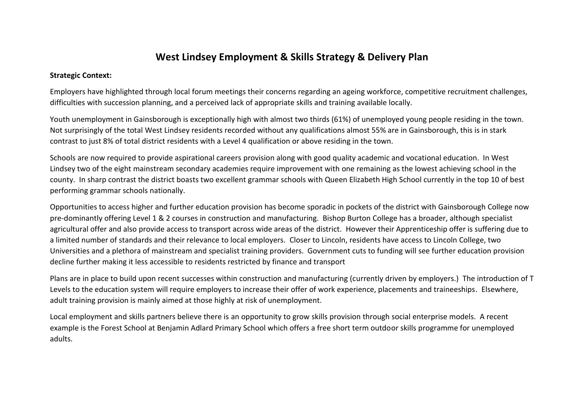## **West Lindsey Employment & Skills Strategy & Delivery Plan**

#### **Strategic Context:**

Employers have highlighted through local forum meetings their concerns regarding an ageing workforce, competitive recruitment challenges, difficulties with succession planning, and a perceived lack of appropriate skills and training available locally.

Youth unemployment in Gainsborough is exceptionally high with almost two thirds (61%) of unemployed young people residing in the town. Not surprisingly of the total West Lindsey residents recorded without any qualifications almost 55% are in Gainsborough, this is in stark contrast to just 8% of total district residents with a Level 4 qualification or above residing in the town.

Schools are now required to provide aspirational careers provision along with good quality academic and vocational education. In West Lindsey two of the eight mainstream secondary academies require improvement with one remaining as the lowest achieving school in the county. In sharp contrast the district boasts two excellent grammar schools with Queen Elizabeth High School currently in the top 10 of best performing grammar schools nationally.

Opportunities to access higher and further education provision has become sporadic in pockets of the district with Gainsborough College now pre-dominantly offering Level 1 & 2 courses in construction and manufacturing. Bishop Burton College has a broader, although specialist agricultural offer and also provide access to transport across wide areas of the district. However their Apprenticeship offer is suffering due to a limited number of standards and their relevance to local employers. Closer to Lincoln, residents have access to Lincoln College, two Universities and a plethora of mainstream and specialist training providers. Government cuts to funding will see further education provision decline further making it less accessible to residents restricted by finance and transport

Plans are in place to build upon recent successes within construction and manufacturing (currently driven by employers.) The introduction of T Levels to the education system will require employers to increase their offer of work experience, placements and traineeships. Elsewhere, adult training provision is mainly aimed at those highly at risk of unemployment.

Local employment and skills partners believe there is an opportunity to grow skills provision through social enterprise models. A recent example is the Forest School at Benjamin Adlard Primary School which offers a free short term outdoor skills programme for unemployed adults.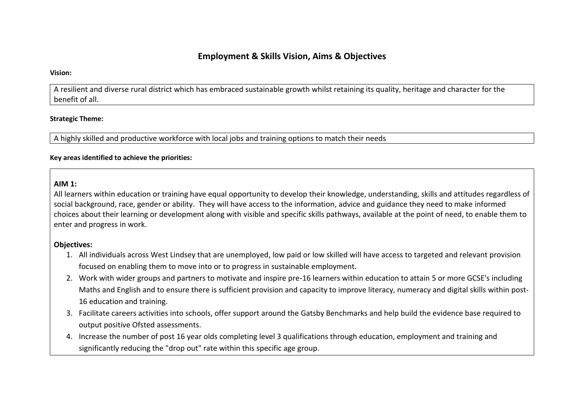## **Employment & Skills Vision, Aims & Objectives**

#### **Vision:**

A resilient and diverse rural district which has embraced sustainable growth whilst retaining its quality, heritage and character for the benefit of all.

#### **Strategic Theme:**

A highly skilled and productive workforce with local jobs and training options to match their needs

#### **Key areas identified to achieve the priorities:**

#### **AIM 1:**

All learners within education or training have equal opportunity to develop their knowledge, understanding, skills and attitudes regardless of social background, race, gender or ability. They will have access to the information, advice and guidance they need to make informed choices about their learning or development along with visible and specific skills pathways, available at the point of need, to enable them to enter and progress in work.

#### **Objectives:**

- 1. All individuals across West Lindsey that are unemployed, low paid or low skilled will have access to targeted and relevant provision focused on enabling them to move into or to progress in sustainable employment.
- 2. Work with wider groups and partners to motivate and inspire pre-16 learners within education to attain 5 or more GCSE's including Maths and English and to ensure there is sufficient provision and capacity to improve literacy, numeracy and digital skills within post-16 education and training.
- 3. Facilitate careers activities into schools, offer support around the Gatsby Benchmarks and help build the evidence base required to output positive Ofsted assessments.
- 4. Increase the number of post 16 year olds completing level 3 qualifications through education, employment and training and significantly reducing the "drop out" rate within this specific age group.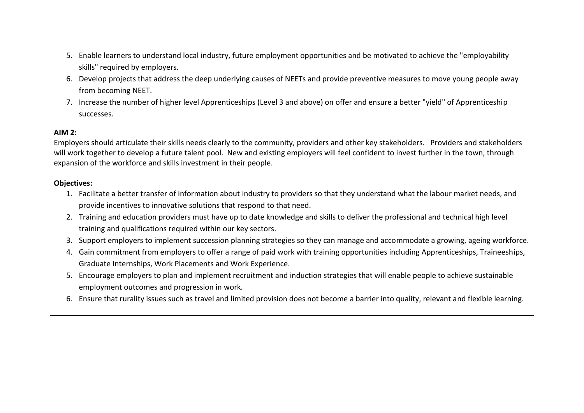- 5. Enable learners to understand local industry, future employment opportunities and be motivated to achieve the "employability skills" required by employers.
- 6. Develop projects that address the deep underlying causes of NEETs and provide preventive measures to move young people away from becoming NEET.
- 7. Increase the number of higher level Apprenticeships (Level 3 and above) on offer and ensure a better "yield" of Apprenticeship successes.

## **AIM 2:**

Employers should articulate their skills needs clearly to the community, providers and other key stakeholders. Providers and stakeholders will work together to develop a future talent pool. New and existing employers will feel confident to invest further in the town, through expansion of the workforce and skills investment in their people.

## **Objectives:**

- 1. Facilitate a better transfer of information about industry to providers so that they understand what the labour market needs, and provide incentives to innovative solutions that respond to that need.
- 2. Training and education providers must have up to date knowledge and skills to deliver the professional and technical high level training and qualifications required within our key sectors.
- 3. Support employers to implement succession planning strategies so they can manage and accommodate a growing, ageing workforce.
- 4. Gain commitment from employers to offer a range of paid work with training opportunities including Apprenticeships, Traineeships, Graduate Internships, Work Placements and Work Experience.
- 5. Encourage employers to plan and implement recruitment and induction strategies that will enable people to achieve sustainable employment outcomes and progression in work.
- 6. Ensure that rurality issues such as travel and limited provision does not become a barrier into quality, relevant and flexible learning.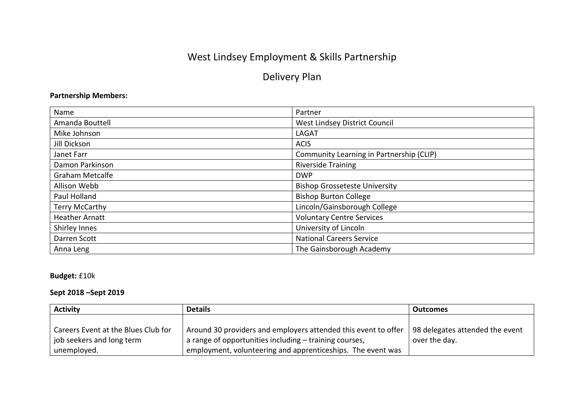# West Lindsey Employment & Skills Partnership

## Delivery Plan

## **Partnership Members:**

| Name                   | Partner                                  |
|------------------------|------------------------------------------|
| Amanda Bouttell        | West Lindsey District Council            |
| Mike Johnson           | <b>LAGAT</b>                             |
| Jill Dickson           | <b>ACIS</b>                              |
| Janet Farr             | Community Learning in Partnership (CLIP) |
| Damon Parkinson        | <b>Riverside Training</b>                |
| <b>Graham Metcalfe</b> | <b>DWP</b>                               |
| Allison Webb           | <b>Bishop Grosseteste University</b>     |
| Paul Holland           | <b>Bishop Burton College</b>             |
| <b>Terry McCarthy</b>  | Lincoln/Gainsborough College             |
| <b>Heather Arnatt</b>  | <b>Voluntary Centre Services</b>         |
| Shirley Innes          | University of Lincoln                    |
| Darren Scott           | <b>National Careers Service</b>          |
| Anna Leng              | The Gainsborough Academy                 |

**Budget:** £10k

## **Sept 2018 –Sept 2019**

| <b>Activity</b>                     | <b>Details</b>                                                 | <b>Outcomes</b>                 |
|-------------------------------------|----------------------------------------------------------------|---------------------------------|
|                                     |                                                                |                                 |
| Careers Event at the Blues Club for | Around 30 providers and employers attended this event to offer | 98 delegates attended the event |
| job seekers and long term           | a range of opportunities including – training courses,         | over the day.                   |
| unemployed.                         | employment, volunteering and apprenticeships. The event was    |                                 |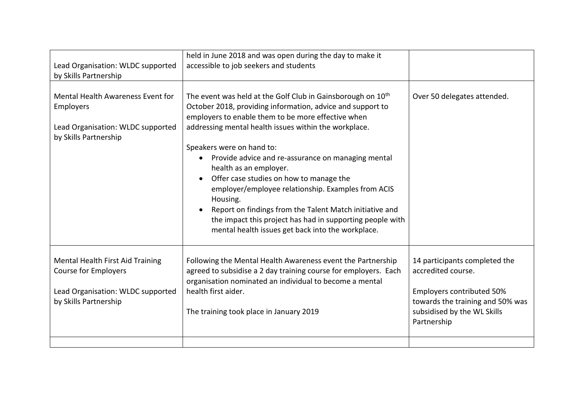| Lead Organisation: WLDC supported<br>by Skills Partnership                                                                    | held in June 2018 and was open during the day to make it<br>accessible to job seekers and students                                                                                                                                                                                                                                                                                                                                                                                                                                                                                                                                                                                                 |                                                                                                                                                                    |
|-------------------------------------------------------------------------------------------------------------------------------|----------------------------------------------------------------------------------------------------------------------------------------------------------------------------------------------------------------------------------------------------------------------------------------------------------------------------------------------------------------------------------------------------------------------------------------------------------------------------------------------------------------------------------------------------------------------------------------------------------------------------------------------------------------------------------------------------|--------------------------------------------------------------------------------------------------------------------------------------------------------------------|
| Mental Health Awareness Event for<br>Employers<br>Lead Organisation: WLDC supported<br>by Skills Partnership                  | The event was held at the Golf Club in Gainsborough on 10 <sup>th</sup><br>October 2018, providing information, advice and support to<br>employers to enable them to be more effective when<br>addressing mental health issues within the workplace.<br>Speakers were on hand to:<br>Provide advice and re-assurance on managing mental<br>$\bullet$<br>health as an employer.<br>Offer case studies on how to manage the<br>$\bullet$<br>employer/employee relationship. Examples from ACIS<br>Housing.<br>Report on findings from the Talent Match initiative and<br>$\bullet$<br>the impact this project has had in supporting people with<br>mental health issues get back into the workplace. | Over 50 delegates attended.                                                                                                                                        |
| Mental Health First Aid Training<br><b>Course for Employers</b><br>Lead Organisation: WLDC supported<br>by Skills Partnership | Following the Mental Health Awareness event the Partnership<br>agreed to subsidise a 2 day training course for employers. Each<br>organisation nominated an individual to become a mental<br>health first aider.<br>The training took place in January 2019                                                                                                                                                                                                                                                                                                                                                                                                                                        | 14 participants completed the<br>accredited course.<br>Employers contributed 50%<br>towards the training and 50% was<br>subsidised by the WL Skills<br>Partnership |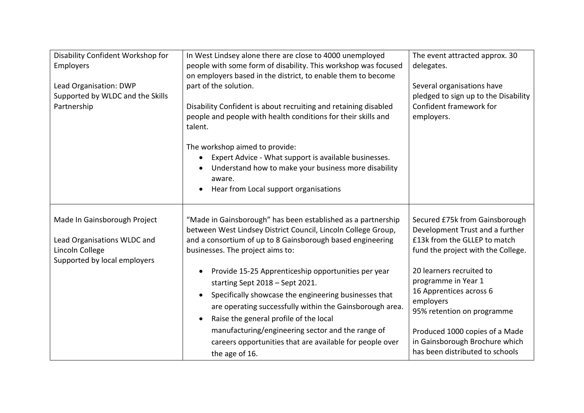| Disability Confident Workshop for<br>Employers<br>Lead Organisation: DWP<br>Supported by WLDC and the Skills<br>Partnership | In West Lindsey alone there are close to 4000 unemployed<br>people with some form of disability. This workshop was focused<br>on employers based in the district, to enable them to become<br>part of the solution.<br>Disability Confident is about recruiting and retaining disabled<br>people and people with health conditions for their skills and<br>talent.<br>The workshop aimed to provide:<br>Expert Advice - What support is available businesses.<br>Understand how to make your business more disability<br>aware.<br>Hear from Local support organisations<br>$\bullet$                                       | The event attracted approx. 30<br>delegates.<br>Several organisations have<br>pledged to sign up to the Disability<br>Confident framework for<br>employers.                                                                                                                                                                                                             |
|-----------------------------------------------------------------------------------------------------------------------------|-----------------------------------------------------------------------------------------------------------------------------------------------------------------------------------------------------------------------------------------------------------------------------------------------------------------------------------------------------------------------------------------------------------------------------------------------------------------------------------------------------------------------------------------------------------------------------------------------------------------------------|-------------------------------------------------------------------------------------------------------------------------------------------------------------------------------------------------------------------------------------------------------------------------------------------------------------------------------------------------------------------------|
| Made In Gainsborough Project<br>Lead Organisations WLDC and<br>Lincoln College<br>Supported by local employers              | "Made in Gainsborough" has been established as a partnership<br>between West Lindsey District Council, Lincoln College Group,<br>and a consortium of up to 8 Gainsborough based engineering<br>businesses. The project aims to:<br>Provide 15-25 Apprenticeship opportunities per year<br>starting Sept 2018 - Sept 2021.<br>Specifically showcase the engineering businesses that<br>are operating successfully within the Gainsborough area.<br>Raise the general profile of the local<br>manufacturing/engineering sector and the range of<br>careers opportunities that are available for people over<br>the age of 16. | Secured £75k from Gainsborough<br>Development Trust and a further<br>£13k from the GLLEP to match<br>fund the project with the College.<br>20 learners recruited to<br>programme in Year 1<br>16 Apprentices across 6<br>employers<br>95% retention on programme<br>Produced 1000 copies of a Made<br>in Gainsborough Brochure which<br>has been distributed to schools |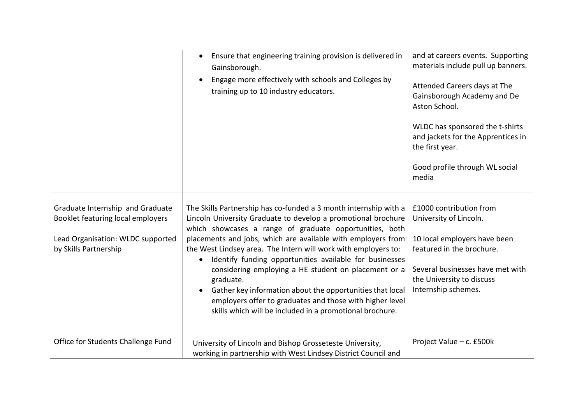|                                                                                                                                     | Ensure that engineering training provision is delivered in<br>$\bullet$<br>Gainsborough.<br>Engage more effectively with schools and Colleges by<br>training up to 10 industry educators.                                                                                                                                                                                                                                                                                                                                                                                                                                                                        | and at careers events. Supporting<br>materials include pull up banners.<br>Attended Careers days at The<br>Gainsborough Academy and De<br>Aston School.<br>WLDC has sponsored the t-shirts<br>and jackets for the Apprentices in<br>the first year.<br>Good profile through WL social<br>media |
|-------------------------------------------------------------------------------------------------------------------------------------|------------------------------------------------------------------------------------------------------------------------------------------------------------------------------------------------------------------------------------------------------------------------------------------------------------------------------------------------------------------------------------------------------------------------------------------------------------------------------------------------------------------------------------------------------------------------------------------------------------------------------------------------------------------|------------------------------------------------------------------------------------------------------------------------------------------------------------------------------------------------------------------------------------------------------------------------------------------------|
| Graduate Internship and Graduate<br>Booklet featuring local employers<br>Lead Organisation: WLDC supported<br>by Skills Partnership | The Skills Partnership has co-funded a 3 month internship with a<br>Lincoln University Graduate to develop a promotional brochure<br>which showcases a range of graduate opportunities, both<br>placements and jobs, which are available with employers from<br>the West Lindsey area. The Intern will work with employers to:<br>Identify funding opportunities available for businesses<br>$\bullet$<br>considering employing a HE student on placement or a<br>graduate.<br>Gather key information about the opportunities that local<br>employers offer to graduates and those with higher level<br>skills which will be included in a promotional brochure. | £1000 contribution from<br>University of Lincoln.<br>10 local employers have been<br>featured in the brochure.<br>Several businesses have met with<br>the University to discuss<br>Internship schemes.                                                                                         |
| Office for Students Challenge Fund                                                                                                  | University of Lincoln and Bishop Grosseteste University,<br>working in partnership with West Lindsey District Council and                                                                                                                                                                                                                                                                                                                                                                                                                                                                                                                                        | Project Value - c. £500k                                                                                                                                                                                                                                                                       |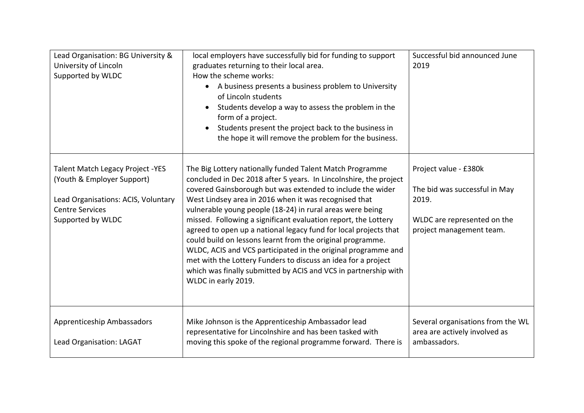| Lead Organisation: BG University &<br>University of Lincoln<br>Supported by WLDC                                                                            | local employers have successfully bid for funding to support<br>graduates returning to their local area.<br>How the scheme works:<br>A business presents a business problem to University<br>of Lincoln students<br>Students develop a way to assess the problem in the<br>form of a project.<br>Students present the project back to the business in<br>the hope it will remove the problem for the business.                                                                                                                                                                                                                                                                                                                                    | Successful bid announced June<br>2019                                                                                      |
|-------------------------------------------------------------------------------------------------------------------------------------------------------------|---------------------------------------------------------------------------------------------------------------------------------------------------------------------------------------------------------------------------------------------------------------------------------------------------------------------------------------------------------------------------------------------------------------------------------------------------------------------------------------------------------------------------------------------------------------------------------------------------------------------------------------------------------------------------------------------------------------------------------------------------|----------------------------------------------------------------------------------------------------------------------------|
| <b>Talent Match Legacy Project -YES</b><br>(Youth & Employer Support)<br>Lead Organisations: ACIS, Voluntary<br><b>Centre Services</b><br>Supported by WLDC | The Big Lottery nationally funded Talent Match Programme<br>concluded in Dec 2018 after 5 years. In Lincolnshire, the project<br>covered Gainsborough but was extended to include the wider<br>West Lindsey area in 2016 when it was recognised that<br>vulnerable young people (18-24) in rural areas were being<br>missed. Following a significant evaluation report, the Lottery<br>agreed to open up a national legacy fund for local projects that<br>could build on lessons learnt from the original programme.<br>WLDC, ACIS and VCS participated in the original programme and<br>met with the Lottery Funders to discuss an idea for a project<br>which was finally submitted by ACIS and VCS in partnership with<br>WLDC in early 2019. | Project value - £380k<br>The bid was successful in May<br>2019.<br>WLDC are represented on the<br>project management team. |
| Apprenticeship Ambassadors<br>Lead Organisation: LAGAT                                                                                                      | Mike Johnson is the Apprenticeship Ambassador lead<br>representative for Lincolnshire and has been tasked with<br>moving this spoke of the regional programme forward. There is                                                                                                                                                                                                                                                                                                                                                                                                                                                                                                                                                                   | Several organisations from the WL<br>area are actively involved as<br>ambassadors.                                         |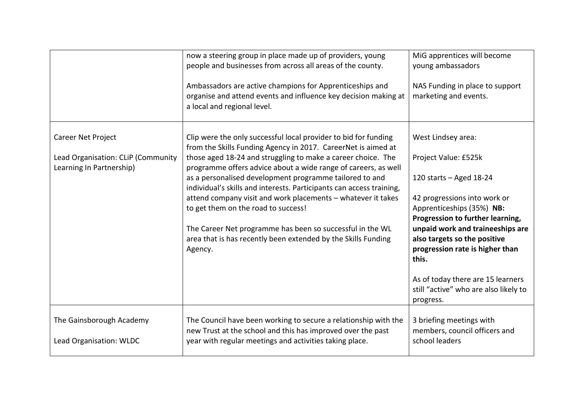| now a steering group in place made up of providers, young<br>people and businesses from across all areas of the county.                                                                                                                                                                                                                                                                                                                                                                                                                                                                                                                               | MiG apprentices will become<br>young ambassadors                                                                                                                                                                                                                                                                                                                                    |
|-------------------------------------------------------------------------------------------------------------------------------------------------------------------------------------------------------------------------------------------------------------------------------------------------------------------------------------------------------------------------------------------------------------------------------------------------------------------------------------------------------------------------------------------------------------------------------------------------------------------------------------------------------|-------------------------------------------------------------------------------------------------------------------------------------------------------------------------------------------------------------------------------------------------------------------------------------------------------------------------------------------------------------------------------------|
| Ambassadors are active champions for Apprenticeships and<br>organise and attend events and influence key decision making at<br>a local and regional level.                                                                                                                                                                                                                                                                                                                                                                                                                                                                                            | NAS Funding in place to support<br>marketing and events.                                                                                                                                                                                                                                                                                                                            |
| Clip were the only successful local provider to bid for funding<br>from the Skills Funding Agency in 2017. CareerNet is aimed at<br>those aged 18-24 and struggling to make a career choice. The<br>programme offers advice about a wide range of careers, as well<br>as a personalised development programme tailored to and<br>individual's skills and interests. Participants can access training,<br>attend company visit and work placements - whatever it takes<br>to get them on the road to success!<br>The Career Net programme has been so successful in the WL<br>area that is has recently been extended by the Skills Funding<br>Agency. | West Lindsey area:<br>Project Value: £525k<br>120 starts $-$ Aged 18-24<br>42 progressions into work or<br>Apprenticeships (35%) NB:<br>Progression to further learning,<br>unpaid work and traineeships are<br>also targets so the positive<br>progression rate is higher than<br>this.<br>As of today there are 15 learners<br>still "active" who are also likely to<br>progress. |
| The Council have been working to secure a relationship with the<br>new Trust at the school and this has improved over the past<br>year with regular meetings and activities taking place.                                                                                                                                                                                                                                                                                                                                                                                                                                                             | 3 briefing meetings with<br>members, council officers and<br>school leaders                                                                                                                                                                                                                                                                                                         |
|                                                                                                                                                                                                                                                                                                                                                                                                                                                                                                                                                                                                                                                       |                                                                                                                                                                                                                                                                                                                                                                                     |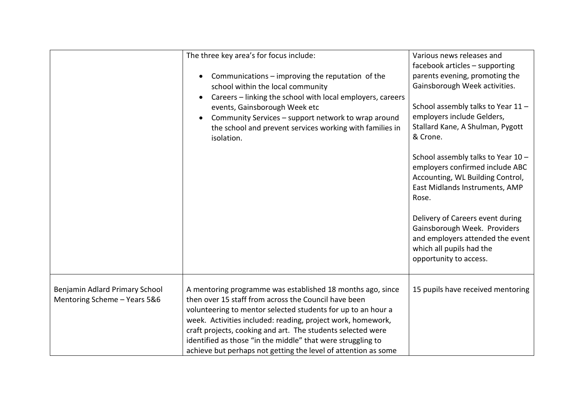|                                                                | The three key area's for focus include:<br>Communications - improving the reputation of the<br>school within the local community<br>Careers - linking the school with local employers, careers<br>events, Gainsborough Week etc<br>Community Services - support network to wrap around<br>the school and prevent services working with families in<br>isolation.                                                                                  | Various news releases and<br>facebook articles - supporting<br>parents evening, promoting the<br>Gainsborough Week activities.<br>School assembly talks to Year 11 -<br>employers include Gelders,<br>Stallard Kane, A Shulman, Pygott<br>& Crone.<br>School assembly talks to Year 10 -<br>employers confirmed include ABC<br>Accounting, WL Building Control,<br>East Midlands Instruments, AMP<br>Rose.<br>Delivery of Careers event during<br>Gainsborough Week. Providers<br>and employers attended the event<br>which all pupils had the<br>opportunity to access. |
|----------------------------------------------------------------|---------------------------------------------------------------------------------------------------------------------------------------------------------------------------------------------------------------------------------------------------------------------------------------------------------------------------------------------------------------------------------------------------------------------------------------------------|--------------------------------------------------------------------------------------------------------------------------------------------------------------------------------------------------------------------------------------------------------------------------------------------------------------------------------------------------------------------------------------------------------------------------------------------------------------------------------------------------------------------------------------------------------------------------|
| Benjamin Adlard Primary School<br>Mentoring Scheme - Years 5&6 | A mentoring programme was established 18 months ago, since<br>then over 15 staff from across the Council have been<br>volunteering to mentor selected students for up to an hour a<br>week. Activities included: reading, project work, homework,<br>craft projects, cooking and art. The students selected were<br>identified as those "in the middle" that were struggling to<br>achieve but perhaps not getting the level of attention as some | 15 pupils have received mentoring                                                                                                                                                                                                                                                                                                                                                                                                                                                                                                                                        |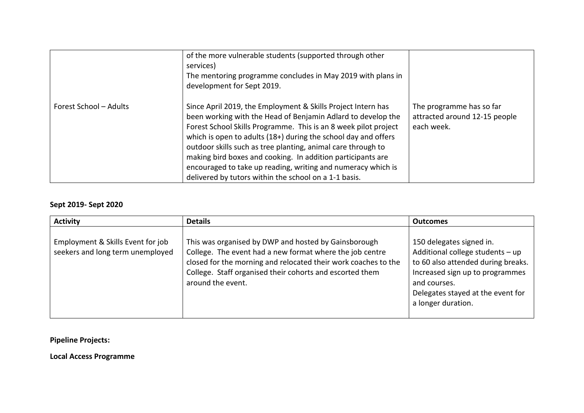|                        | of the more vulnerable students (supported through other<br>services)<br>The mentoring programme concludes in May 2019 with plans in<br>development for Sept 2019.                                                                                                                                                                                                                                                                                                                                                        |                                                                         |
|------------------------|---------------------------------------------------------------------------------------------------------------------------------------------------------------------------------------------------------------------------------------------------------------------------------------------------------------------------------------------------------------------------------------------------------------------------------------------------------------------------------------------------------------------------|-------------------------------------------------------------------------|
| Forest School - Adults | Since April 2019, the Employment & Skills Project Intern has<br>been working with the Head of Benjamin Adlard to develop the<br>Forest School Skills Programme. This is an 8 week pilot project<br>which is open to adults (18+) during the school day and offers<br>outdoor skills such as tree planting, animal care through to<br>making bird boxes and cooking. In addition participants are<br>encouraged to take up reading, writing and numeracy which is<br>delivered by tutors within the school on a 1-1 basis. | The programme has so far<br>attracted around 12-15 people<br>each week. |

## **Sept 2019- Sept 2020**

| <b>Activity</b>                                                       | <b>Details</b>                                                                                                                                                                                                                                                      | <b>Outcomes</b>                                                                                                                                                                                                  |
|-----------------------------------------------------------------------|---------------------------------------------------------------------------------------------------------------------------------------------------------------------------------------------------------------------------------------------------------------------|------------------------------------------------------------------------------------------------------------------------------------------------------------------------------------------------------------------|
| Employment & Skills Event for job<br>seekers and long term unemployed | This was organised by DWP and hosted by Gainsborough<br>College. The event had a new format where the job centre<br>closed for the morning and relocated their work coaches to the<br>College. Staff organised their cohorts and escorted them<br>around the event. | 150 delegates signed in.<br>Additional college students - up<br>to 60 also attended during breaks.<br>Increased sign up to programmes<br>and courses.<br>Delegates stayed at the event for<br>a longer duration. |

**Pipeline Projects:**

**Local Access Programme**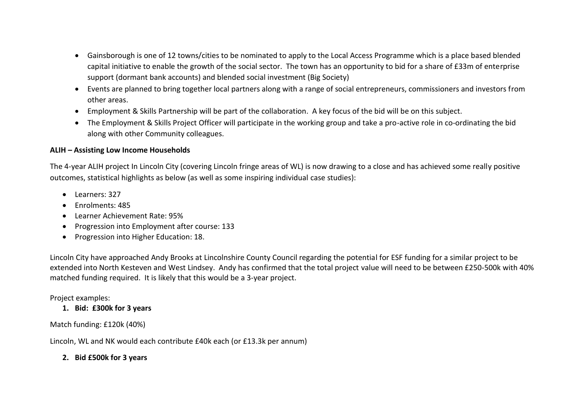- Gainsborough is one of 12 towns/cities to be nominated to apply to the Local Access Programme which is a place based blended capital initiative to enable the growth of the social sector. The town has an opportunity to bid for a share of £33m of enterprise support (dormant bank accounts) and blended social investment (Big Society)
- Events are planned to bring together local partners along with a range of social entrepreneurs, commissioners and investors from other areas.
- Employment & Skills Partnership will be part of the collaboration. A key focus of the bid will be on this subject.
- The Employment & Skills Project Officer will participate in the working group and take a pro-active role in co-ordinating the bid along with other Community colleagues.

#### **ALIH – Assisting Low Income Households**

The 4-year ALIH project In Lincoln City (covering Lincoln fringe areas of WL) is now drawing to a close and has achieved some really positive outcomes, statistical highlights as below (as well as some inspiring individual case studies):

- Learners: 327
- Fnrolments: 485
- Learner Achievement Rate: 95%
- Progression into Employment after course: 133
- Progression into Higher Education: 18.

Lincoln City have approached Andy Brooks at Lincolnshire County Council regarding the potential for ESF funding for a similar project to be extended into North Kesteven and West Lindsey. Andy has confirmed that the total project value will need to be between £250-500k with 40% matched funding required. It is likely that this would be a 3-year project.

## Project examples:

## **1. Bid: £300k for 3 years**

## Match funding: £120k (40%)

Lincoln, WL and NK would each contribute £40k each (or £13.3k per annum)

## **2. Bid £500k for 3 years**